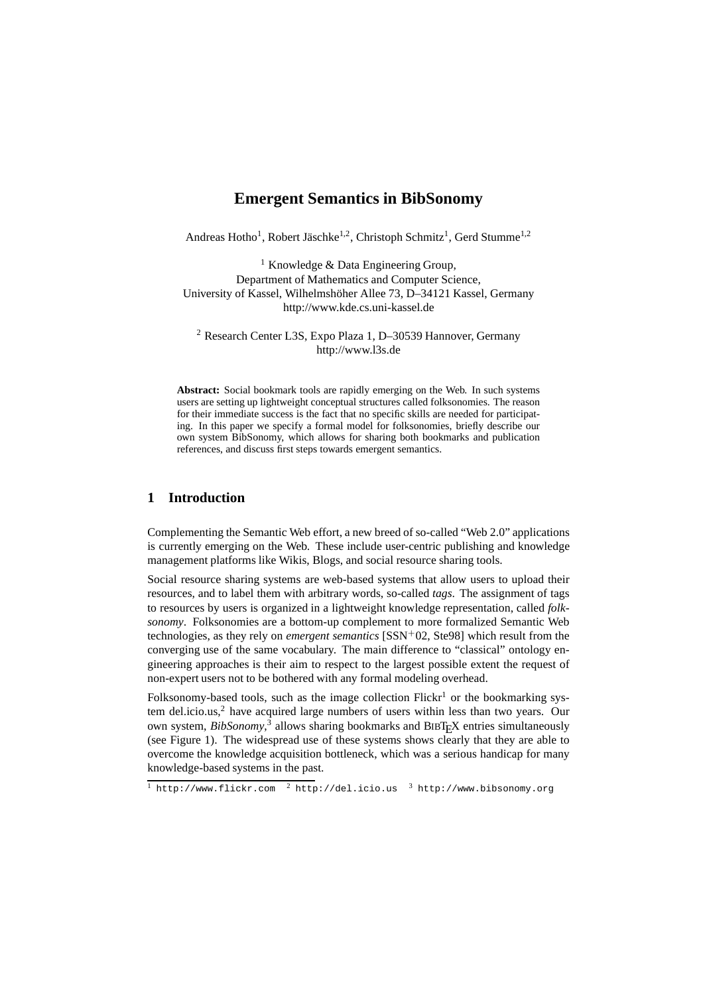# **Emergent Semantics in BibSonomy**

Andreas Hotho<sup>1</sup>, Robert Jäschke<sup>1,2</sup>, Christoph Schmitz<sup>1</sup>, Gerd Stumme<sup>1,2</sup>

<sup>1</sup> Knowledge & Data Engineering Group, Department of Mathematics and Computer Science, University of Kassel, Wilhelmshöher Allee 73, D–34121 Kassel, Germany http://www.kde.cs.uni-kassel.de

<sup>2</sup> Research Center L3S, Expo Plaza 1, D–30539 Hannover, Germany http://www.l3s.de

**Abstract:** Social bookmark tools are rapidly emerging on the Web. In such systems users are setting up lightweight conceptual structures called folksonomies. The reason for their immediate success is the fact that no specific skills are needed for participating. In this paper we specify a formal model for folksonomies, briefly describe our own system BibSonomy, which allows for sharing both bookmarks and publication references, and discuss first steps towards emergent semantics.

## **1 Introduction**

Complementing the Semantic Web effort, a new breed of so-called "Web 2.0" applications is currently emerging on the Web. These include user-centric publishing and knowledge management platforms like Wikis, Blogs, and social resource sharing tools.

Social resource sharing systems are web-based systems that allow users to upload their resources, and to label them with arbitrary words, so-called *tags*. The assignment of tags to resources by users is organized in a lightweight knowledge representation, called *folksonomy*. Folksonomies are a bottom-up complement to more formalized Semantic Web technologies, as they rely on *emergent semantics* [SSN+02, Ste98] which result from the converging use of the same vocabulary. The main difference to "classical" ontology engineering approaches is their aim to respect to the largest possible extent the request of non-expert users not to be bothered with any formal modeling overhead.

Folksonomy-based tools, such as the image collection Flickr<sup>1</sup> or the bookmarking system del.icio.us,<sup>2</sup> have acquired large numbers of users within less than two years. Our own system, *BibSonomy*,<sup>3</sup> allows sharing bookmarks and BIBT<sub>E</sub>X entries simultaneously (see Figure 1). The widespread use of these systems shows clearly that they are able to overcome the knowledge acquisition bottleneck, which was a serious handicap for many knowledge-based systems in the past.

1 http://www.flickr.com <sup>2</sup> http://del.icio.us <sup>3</sup> http://www.bibsonomy.org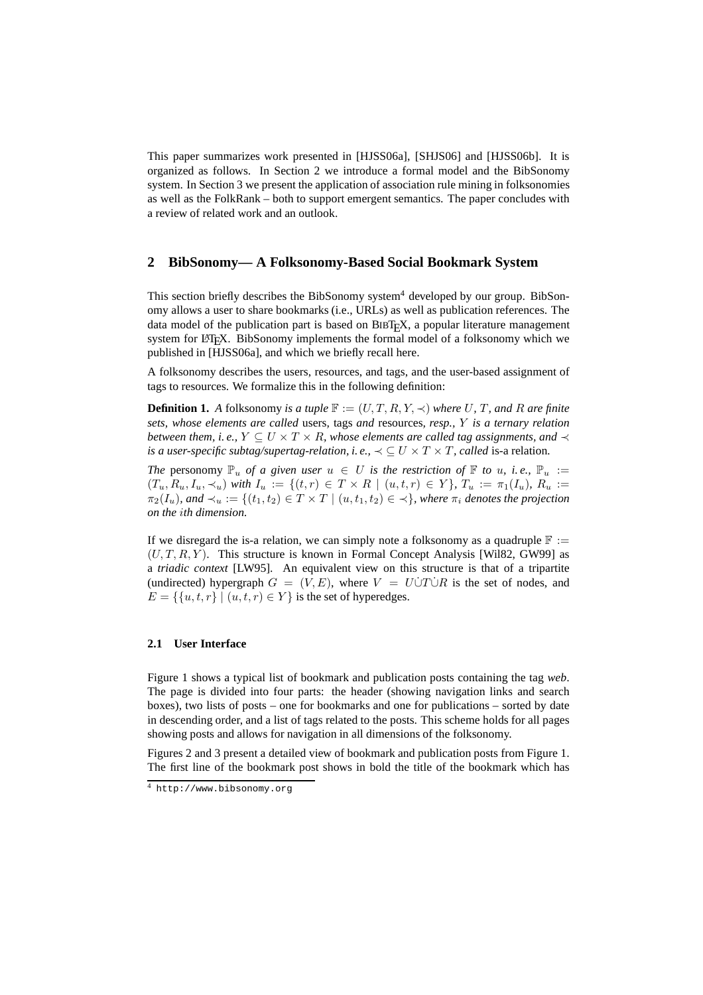This paper summarizes work presented in [HJSS06a], [SHJS06] and [HJSS06b]. It is organized as follows. In Section 2 we introduce a formal model and the BibSonomy system. In Section 3 we present the application of association rule mining in folksonomies as well as the FolkRank – both to support emergent semantics. The paper concludes with a review of related work and an outlook.

## **2 BibSonomy— A Folksonomy-Based Social Bookmark System**

This section briefly describes the BibSonomy system<sup>4</sup> developed by our group. BibSonomy allows a user to share bookmarks (i.e., URLs) as well as publication references. The data model of the publication part is based on  $BIBT<sub>F</sub>X$ , a popular literature management system for LATEX. BibSonomy implements the formal model of a folksonomy which we published in [HJSS06a], and which we briefly recall here.

A folksonomy describes the users, resources, and tags, and the user-based assignment of tags to resources. We formalize this in the following definition:

**Definition 1.** *A* folksonomy *is a tuple*  $\mathbb{F} := (U, T, R, Y, \prec)$  *where* U, T, and R are finite *sets, whose elements are called* users*,* tags *and* resources*, resp.,* Y *is a ternary relation between them, i.e.,*  $Y \subseteq U \times T \times R$ *, whose elements are called tag assignments, and*  $\prec$ *is a user-specific subtag/supertag-relation, i.e.,*  $\prec \subset U \times T \times T$ *, called is-a relation.* 

*The* personomy  $\mathbb{P}_u$  *of a given user*  $u \in U$  *is the restriction of*  $\mathbb{F}$  *to u, i.e.,*  $\mathbb{P}_u :=$  $(T_u, R_u, I_u, \prec_u)$  *with*  $I_u := \{(t, r) \in T \times R \mid (u, t, r) \in Y\}$ ,  $T_u := \pi_1(I_u)$ ,  $R_u :=$  $\pi_2(I_u)$ *, and*  $\prec_u := \{(t_1, t_2) \in T \times T \mid (u, t_1, t_2) \in \prec\}$ *, where*  $\pi_i$  *denotes the projection on the* i*th dimension.*

If we disregard the is-a relation, we can simply note a folksonomy as a quadruple  $\mathbb{F} :=$  $(U, T, R, Y)$ . This structure is known in Formal Concept Analysis [Wil82, GW99] as a *triadic context* [LW95]. An equivalent view on this structure is that of a tripartite (undirected) hypergraph  $G = (V, E)$ , where  $V = U\dot{\cup}T\dot{\cup}R$  is the set of nodes, and  $E = \{ \{u, t, r\} \mid (u, t, r) \in Y \}$  is the set of hyperedges.

## **2.1 User Interface**

Figure 1 shows a typical list of bookmark and publication posts containing the tag *web*. The page is divided into four parts: the header (showing navigation links and search boxes), two lists of posts – one for bookmarks and one for publications – sorted by date in descending order, and a list of tags related to the posts. This scheme holds for all pages showing posts and allows for navigation in all dimensions of the folksonomy.

Figures 2 and 3 present a detailed view of bookmark and publication posts from Figure 1. The first line of the bookmark post shows in bold the title of the bookmark which has

<sup>4</sup> http://www.bibsonomy.org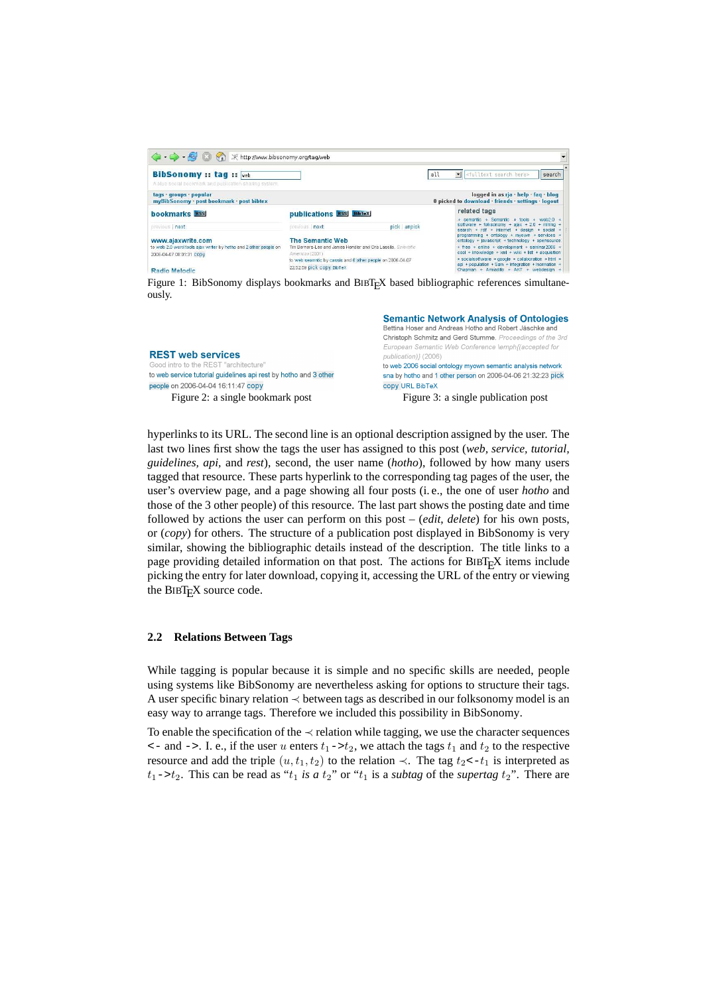| <b>BibSonomy:: tag::</b> web<br>A blue social bookmark and publication sharing system.                             |                                                                                                      |               | all                                                                                                                                                                                                                 | I cfulltext search here><br>search                                                                                                                     |  |
|--------------------------------------------------------------------------------------------------------------------|------------------------------------------------------------------------------------------------------|---------------|---------------------------------------------------------------------------------------------------------------------------------------------------------------------------------------------------------------------|--------------------------------------------------------------------------------------------------------------------------------------------------------|--|
| tags · groups · popular<br>myBibSonomy · post bookmark · post bibtex                                               |                                                                                                      |               |                                                                                                                                                                                                                     | logged in as ria · help · fag · blog<br>0 picked to download friends · settings · logout                                                               |  |
| bookmarks RSS                                                                                                      | publications RSS BibTeX                                                                              |               |                                                                                                                                                                                                                     | related tags                                                                                                                                           |  |
| previous   next                                                                                                    | previous next                                                                                        | pick   unpick |                                                                                                                                                                                                                     | + semantic + Semantic + tools + web2.0 +<br>software + folksonomy + aiax + $2.0$ + mining +<br>search + rdf + internet + design + social +             |  |
| www.ajaxwrite.com<br>to web 2.0 word tools ajax writer by hotho and 2 other people on-<br>2006-04-07 08:01:31 CODV | The Semantic Web<br>Tim Berners-Lee and James Hendler and Ora Lassila, Scientific<br>American (2001) |               | programming + ontology + myown + services +<br>ontology + javascript + technology + opensource<br>$+$ free $+$ online $+$ development $+$ seminar2006 $+$<br>$\cosh + k$ nowledge + xml + wiki + list + acquisition |                                                                                                                                                        |  |
| Radio Melodic                                                                                                      | to web seamntic by cassis and 6 other people on 2006-04-07<br>22:52:59 pick copy BibTeX              |               |                                                                                                                                                                                                                     | + socialsoftware + google + collaboration + html +<br>$a$ pi + population + Sam + Integration + Inormation +<br>Chapman + Armadilo + AKT + webdesign + |  |

Figure 1: BibSonomy displays bookmarks and BIBTEX based bibliographic references simultaneously.

|                                                                  | <b>Semantic Network Analysis of Ontologies</b><br>Bettina Hoser and Andreas Hotho and Robert Jäschke and |
|------------------------------------------------------------------|----------------------------------------------------------------------------------------------------------|
|                                                                  | Christoph Schmitz and Gerd Stumme. Proceedings of the 3rd                                                |
|                                                                  | European Semantic Web Conference \emph{(accepted for                                                     |
| <b>REST web services</b>                                         | publication)} (2006)                                                                                     |
| Good intro to the REST "architecture"                            | to web 2006 social ontology myown semantic analysis network                                              |
| to web service tutorial guidelines api rest by hotho and 3 other | sna by hotho and 1 other person on 2006-04-06 21:32:23 pick                                              |
| people on 2006-04-04 16:11:47 copy                               | copy URL BibTeX                                                                                          |
| Figure 2: a single bookmark post                                 | Figure 3: a single publication post                                                                      |

hyperlinks to its URL. The second line is an optional description assigned by the user. The last two lines first show the tags the user has assigned to this post (*web, service, tutorial, guidelines, api,* and *rest*), second, the user name (*hotho*), followed by how many users tagged that resource. These parts hyperlink to the corresponding tag pages of the user, the user's overview page, and a page showing all four posts (i. e., the one of user *hotho* and those of the 3 other people) of this resource. The last part shows the posting date and time followed by actions the user can perform on this post – (*edit*, *delete*) for his own posts, or (*copy*) for others. The structure of a publication post displayed in BibSonomy is very similar, showing the bibliographic details instead of the description. The title links to a page providing detailed information on that post. The actions for BIBTEX items include picking the entry for later download, copying it, accessing the URL of the entry or viewing the BIBT<sub>E</sub>X source code.

#### **2.2 Relations Between Tags**

While tagging is popular because it is simple and no specific skills are needed, people using systems like BibSonomy are nevertheless asking for options to structure their tags. A user specific binary relation ≺ between tags as described in our folksonomy model is an easy way to arrange tags. Therefore we included this possibility in BibSonomy.

To enable the specification of the  $\prec$  relation while tagging, we use the character sequences  $\epsilon$  - and ->. I. e., if the user u enters  $t_1 - \epsilon_2$ , we attach the tags  $t_1$  and  $t_2$  to the respective resource and add the triple  $(u, t_1, t_2)$  to the relation  $\prec$ . The tag  $t_2 \prec t_1$  is interpreted as  $t_1$ -> $t_2$ . This can be read as " $t_1$  *is a*  $t_2$ " or " $t_1$  *is a subtag* of the *supertag*  $t_2$ ". There are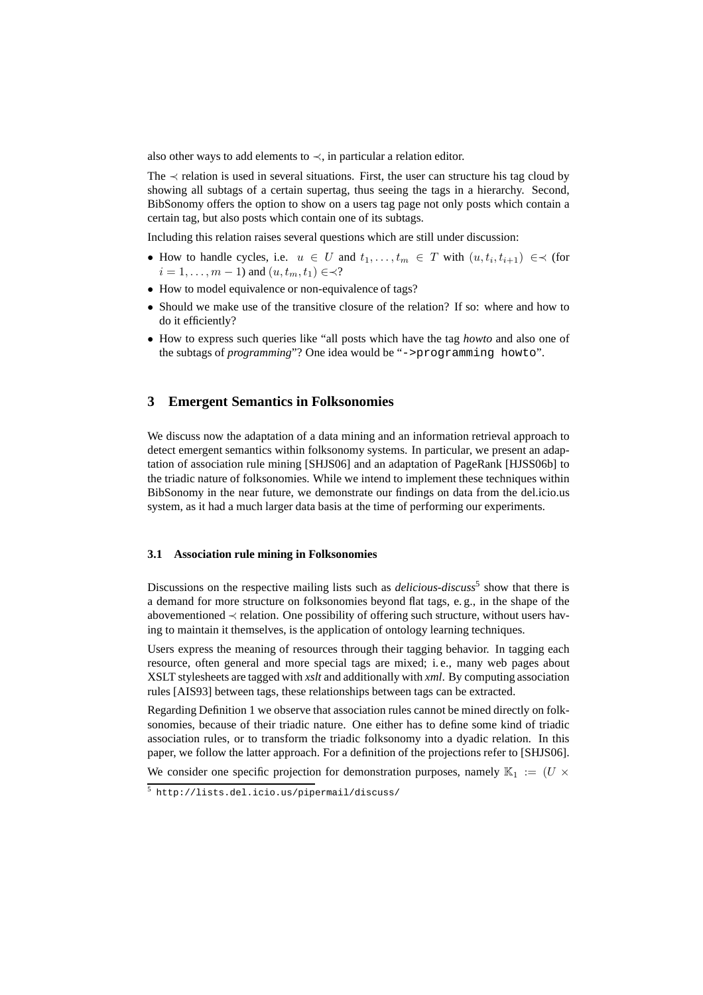also other ways to add elements to  $\prec$ , in particular a relation editor.

The  $\prec$  relation is used in several situations. First, the user can structure his tag cloud by showing all subtags of a certain supertag, thus seeing the tags in a hierarchy. Second, BibSonomy offers the option to show on a users tag page not only posts which contain a certain tag, but also posts which contain one of its subtags.

Including this relation raises several questions which are still under discussion:

- How to handle cycles, i.e.  $u \in U$  and  $t_1, \ldots, t_m \in T$  with  $(u, t_i, t_{i+1}) \in \prec$  (for  $i = 1, \ldots, m - 1$  and  $(u, t_m, t_1) \in \prec$ ?
- How to model equivalence or non-equivalence of tags?
- Should we make use of the transitive closure of the relation? If so: where and how to do it efficiently?
- How to express such queries like "all posts which have the tag *howto* and also one of the subtags of *programming*"? One idea would be "->programming howto".

## **3 Emergent Semantics in Folksonomies**

We discuss now the adaptation of a data mining and an information retrieval approach to detect emergent semantics within folksonomy systems. In particular, we present an adaptation of association rule mining [SHJS06] and an adaptation of PageRank [HJSS06b] to the triadic nature of folksonomies. While we intend to implement these techniques within BibSonomy in the near future, we demonstrate our findings on data from the del.icio.us system, as it had a much larger data basis at the time of performing our experiments.

#### **3.1 Association rule mining in Folksonomies**

Discussions on the respective mailing lists such as *delicious-discuss*<sup>5</sup> show that there is a demand for more structure on folksonomies beyond flat tags, e. g., in the shape of the abovementioned  $\prec$  relation. One possibility of offering such structure, without users having to maintain it themselves, is the application of ontology learning techniques.

Users express the meaning of resources through their tagging behavior. In tagging each resource, often general and more special tags are mixed; i. e., many web pages about XSLT stylesheets are tagged with *xslt* and additionally with *xml*. By computing association rules [AIS93] between tags, these relationships between tags can be extracted.

Regarding Definition 1 we observe that association rules cannot be mined directly on folksonomies, because of their triadic nature. One either has to define some kind of triadic association rules, or to transform the triadic folksonomy into a dyadic relation. In this paper, we follow the latter approach. For a definition of the projections refer to [SHJS06].

We consider one specific projection for demonstration purposes, namely  $\mathbb{K}_1 := (U \times$ 

<sup>5</sup> http://lists.del.icio.us/pipermail/discuss/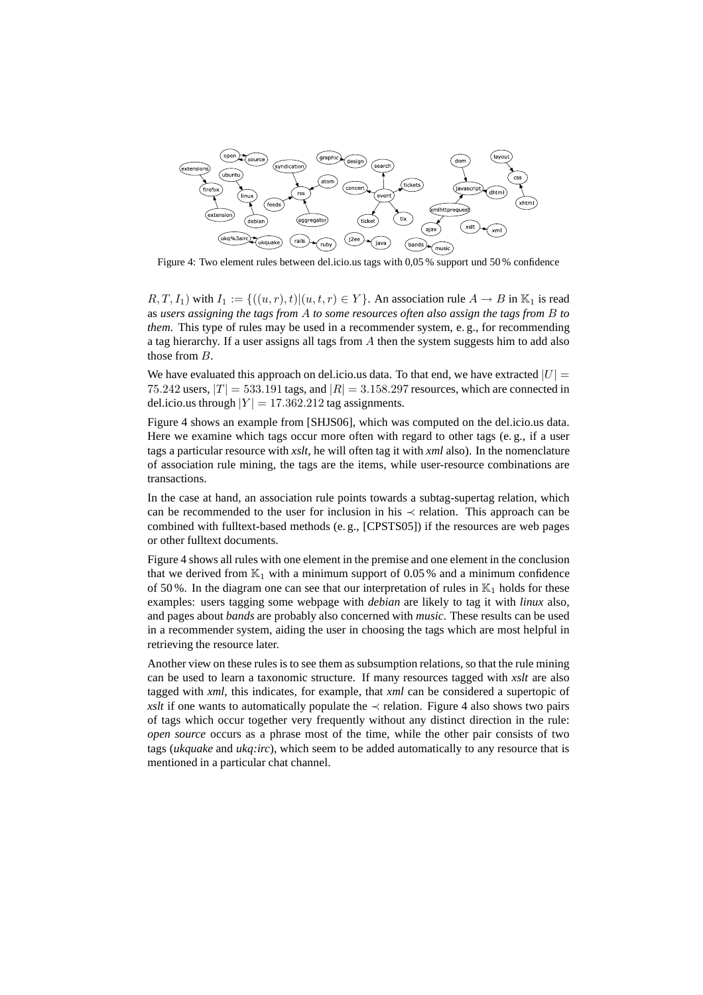

Figure 4: Two element rules between del.icio.us tags with 0,05 % support und 50 % confidence

 $R, T, I_1$ ) with  $I_1 := \{((u, r), t) | (u, t, r) \in Y\}$ . An association rule  $A \to B$  in  $\mathbb{K}_1$  is read as *users assigning the tags from* A *to some resources often also assign the tags from* B *to them*. This type of rules may be used in a recommender system, e.g., for recommending a tag hierarchy. If a user assigns all tags from A then the system suggests him to add also those from B.

We have evaluated this approach on del.icio.us data. To that end, we have extracted  $|U| =$ 75.242 users,  $|T| = 533.191$  tags, and  $|R| = 3.158.297$  resources, which are connected in del.icio.us through  $|Y| = 17.362.212$  tag assignments.

Figure 4 shows an example from [SHJS06], which was computed on the del.icio.us data. Here we examine which tags occur more often with regard to other tags (e. g., if a user tags a particular resource with *xslt*, he will often tag it with *xml* also). In the nomenclature of association rule mining, the tags are the items, while user-resource combinations are transactions.

In the case at hand, an association rule points towards a subtag-supertag relation, which can be recommended to the user for inclusion in his  $\prec$  relation. This approach can be combined with fulltext-based methods (e. g., [CPSTS05]) if the resources are web pages or other fulltext documents.

Figure 4 shows all rules with one element in the premise and one element in the conclusion that we derived from  $\mathbb{K}_1$  with a minimum support of 0.05 % and a minimum confidence of 50%. In the diagram one can see that our interpretation of rules in  $\mathbb{K}_1$  holds for these examples: users tagging some webpage with *debian* are likely to tag it with *linux* also, and pages about *bands* are probably also concerned with *music*. These results can be used in a recommender system, aiding the user in choosing the tags which are most helpful in retrieving the resource later.

Another view on these rules is to see them as subsumption relations, so that the rule mining can be used to learn a taxonomic structure. If many resources tagged with *xslt* are also tagged with *xml*, this indicates, for example, that *xml* can be considered a supertopic of *xslt* if one wants to automatically populate the  $\prec$  relation. Figure 4 also shows two pairs of tags which occur together very frequently without any distinct direction in the rule: *open source* occurs as a phrase most of the time, while the other pair consists of two tags (*ukquake* and *ukq:irc*), which seem to be added automatically to any resource that is mentioned in a particular chat channel.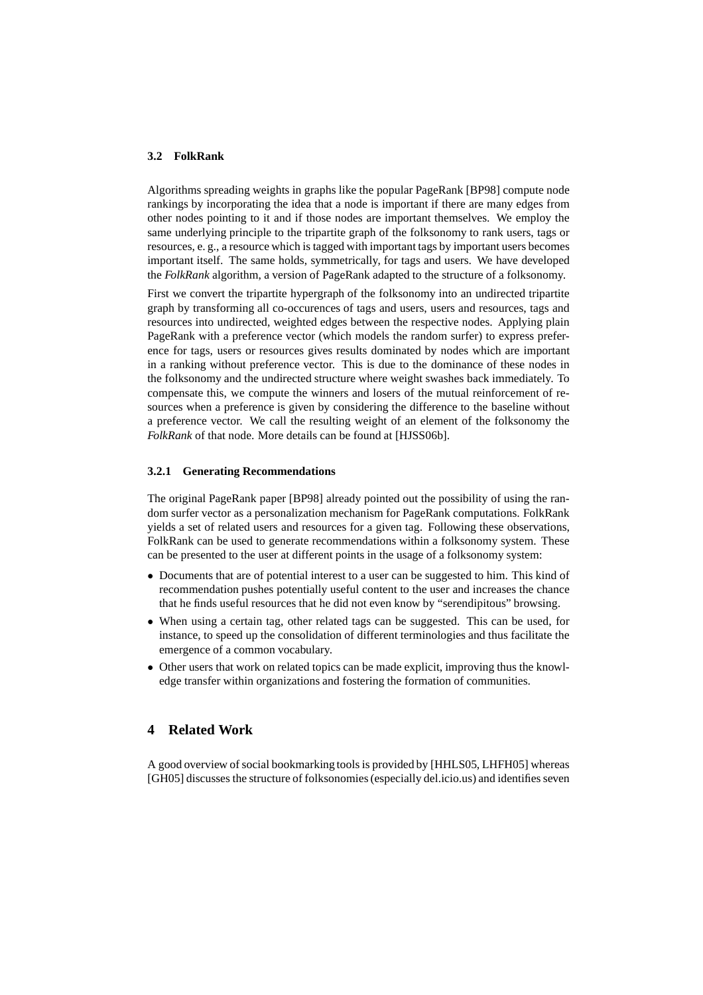#### **3.2 FolkRank**

Algorithms spreading weights in graphs like the popular PageRank [BP98] compute node rankings by incorporating the idea that a node is important if there are many edges from other nodes pointing to it and if those nodes are important themselves. We employ the same underlying principle to the tripartite graph of the folksonomy to rank users, tags or resources, e. g., a resource which is tagged with important tags by important users becomes important itself. The same holds, symmetrically, for tags and users. We have developed the *FolkRank* algorithm, a version of PageRank adapted to the structure of a folksonomy.

First we convert the tripartite hypergraph of the folksonomy into an undirected tripartite graph by transforming all co-occurences of tags and users, users and resources, tags and resources into undirected, weighted edges between the respective nodes. Applying plain PageRank with a preference vector (which models the random surfer) to express preference for tags, users or resources gives results dominated by nodes which are important in a ranking without preference vector. This is due to the dominance of these nodes in the folksonomy and the undirected structure where weight swashes back immediately. To compensate this, we compute the winners and losers of the mutual reinforcement of resources when a preference is given by considering the difference to the baseline without a preference vector. We call the resulting weight of an element of the folksonomy the *FolkRank* of that node. More details can be found at [HJSS06b].

#### **3.2.1 Generating Recommendations**

The original PageRank paper [BP98] already pointed out the possibility of using the random surfer vector as a personalization mechanism for PageRank computations. FolkRank yields a set of related users and resources for a given tag. Following these observations, FolkRank can be used to generate recommendations within a folksonomy system. These can be presented to the user at different points in the usage of a folksonomy system:

- Documents that are of potential interest to a user can be suggested to him. This kind of recommendation pushes potentially useful content to the user and increases the chance that he finds useful resources that he did not even know by "serendipitous" browsing.
- When using a certain tag, other related tags can be suggested. This can be used, for instance, to speed up the consolidation of different terminologies and thus facilitate the emergence of a common vocabulary.
- Other users that work on related topics can be made explicit, improving thus the knowledge transfer within organizations and fostering the formation of communities.

## **4 Related Work**

A good overview of social bookmarking tools is provided by [HHLS05, LHFH05] whereas [GH05] discusses the structure of folksonomies (especially del.icio.us) and identifies seven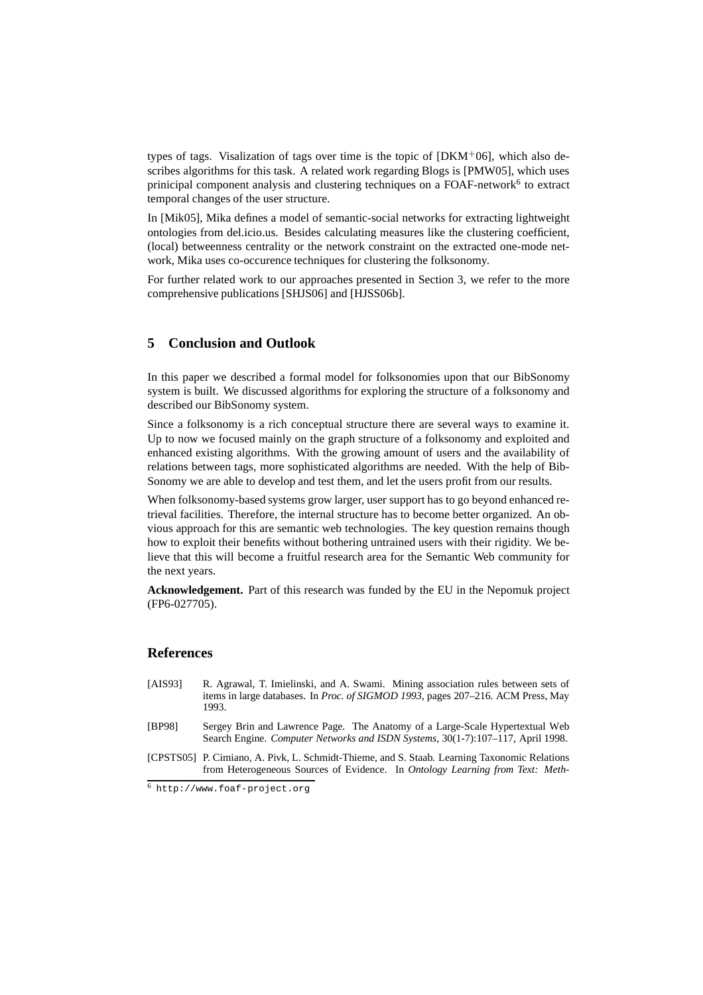types of tags. Visalization of tags over time is the topic of  $[DKM<sup>+</sup>06]$ , which also describes algorithms for this task. A related work regarding Blogs is [PMW05], which uses prinicipal component analysis and clustering techniques on a FOAF-network<sup>6</sup> to extract temporal changes of the user structure.

In [Mik05], Mika defines a model of semantic-social networks for extracting lightweight ontologies from del.icio.us. Besides calculating measures like the clustering coefficient, (local) betweenness centrality or the network constraint on the extracted one-mode network, Mika uses co-occurence techniques for clustering the folksonomy.

For further related work to our approaches presented in Section 3, we refer to the more comprehensive publications [SHJS06] and [HJSS06b].

## **5 Conclusion and Outlook**

In this paper we described a formal model for folksonomies upon that our BibSonomy system is built. We discussed algorithms for exploring the structure of a folksonomy and described our BibSonomy system.

Since a folksonomy is a rich conceptual structure there are several ways to examine it. Up to now we focused mainly on the graph structure of a folksonomy and exploited and enhanced existing algorithms. With the growing amount of users and the availability of relations between tags, more sophisticated algorithms are needed. With the help of Bib-Sonomy we are able to develop and test them, and let the users profit from our results.

When folksonomy-based systems grow larger, user support has to go beyond enhanced retrieval facilities. Therefore, the internal structure has to become better organized. An obvious approach for this are semantic web technologies. The key question remains though how to exploit their benefits without bothering untrained users with their rigidity. We believe that this will become a fruitful research area for the Semantic Web community for the next years.

**Acknowledgement.** Part of this research was funded by the EU in the Nepomuk project (FP6-027705).

### **References**

- [AIS93] R. Agrawal, T. Imielinski, and A. Swami. Mining association rules between sets of items in large databases. In *Proc. of SIGMOD 1993*, pages 207–216. ACM Press, May 1993.
- [BP98] Sergey Brin and Lawrence Page. The Anatomy of a Large-Scale Hypertextual Web Search Engine. *Computer Networks and ISDN Systems*, 30(1-7):107–117, April 1998.
- [CPSTS05] P. Cimiano, A. Pivk, L. Schmidt-Thieme, and S. Staab. Learning Taxonomic Relations from Heterogeneous Sources of Evidence. In *Ontology Learning from Text: Meth-*

<sup>6</sup> http://www.foaf-project.org